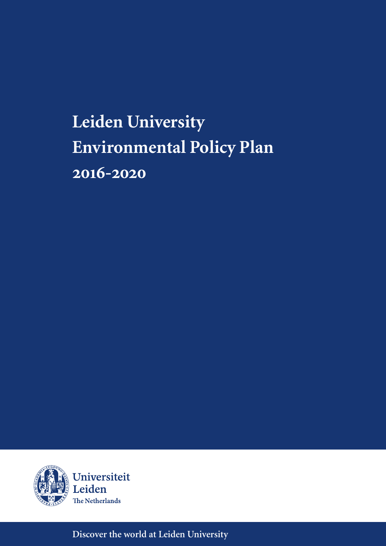# **Leiden University Environmental Policy Plan 2016-2020**



**Discover the world at Leiden University**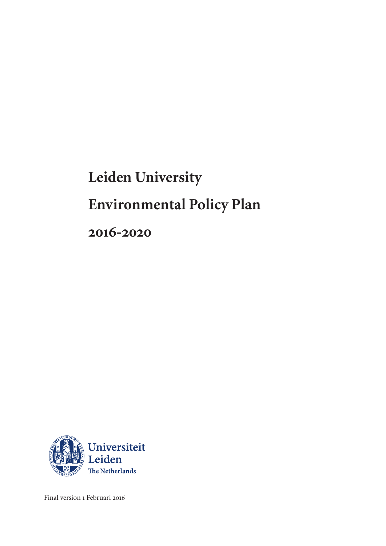# **Leiden University Environmental Policy Plan 2016-2020**



Final version 1 Februari 2016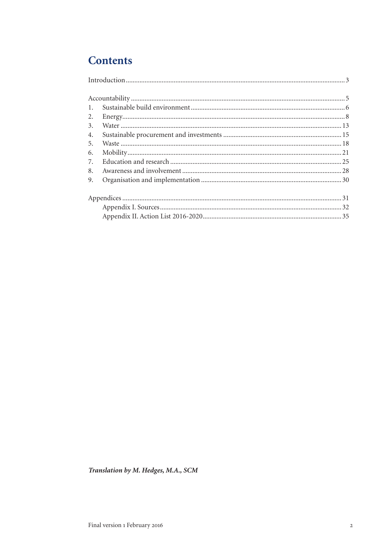# **Contents**

| 2. |  |
|----|--|
|    |  |
| 4. |  |
| 5. |  |
| 6. |  |
| 7. |  |
| 8. |  |
| 9. |  |
|    |  |
|    |  |
|    |  |

Translation by M. Hedges, M.A., SCM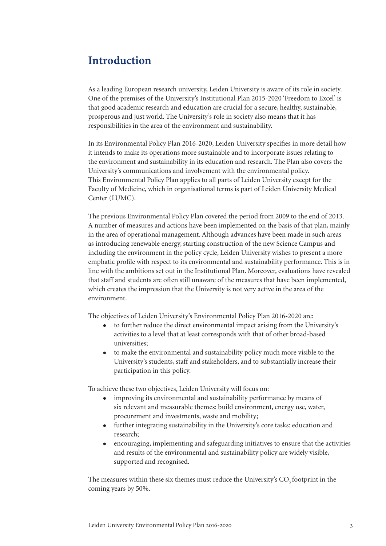# **Introduction**

As a leading European research university, Leiden University is aware of its role in society. One of the premises of the University's Institutional Plan 2015-2020 'Freedom to Excel' is that good academic research and education are crucial for a secure, healthy, sustainable, prosperous and just world. The University's role in society also means that it has responsibilities in the area of the environment and sustainability.

In its Environmental Policy Plan 2016-2020, Leiden University specifies in more detail how it intends to make its operations more sustainable and to incorporate issues relating to the environment and sustainability in its education and research. The Plan also covers the University's communications and involvement with the environmental policy. This Environmental Policy Plan applies to all parts of Leiden University except for the Faculty of Medicine, which in organisational terms is part of Leiden University Medical Center (LUMC).

The previous Environmental Policy Plan covered the period from 2009 to the end of 2013. A number of measures and actions have been implemented on the basis of that plan, mainly in the area of operational management. Although advances have been made in such areas as introducing renewable energy, starting construction of the new Science Campus and including the environment in the policy cycle, Leiden University wishes to present a more emphatic profile with respect to its environmental and sustainability performance. This is in line with the ambitions set out in the Institutional Plan. Moreover, evaluations have revealed that staff and students are often still unaware of the measures that have been implemented, which creates the impression that the University is not very active in the area of the environment.

The objectives of Leiden University's Environmental Policy Plan 2016-2020 are:

- $\bullet$  to further reduce the direct environmental impact arising from the University's activities to a level that at least corresponds with that of other broad-based universities;
- $\bullet$  to make the environmental and sustainability policy much more visible to the University's students, staff and stakeholders, and to substantially increase their participation in this policy.

To achieve these two objectives, Leiden University will focus on:

- improving its environmental and sustainability performance by means of six relevant and measurable themes: build environment, energy use, water, procurement and investments, waste and mobility;
- $\bullet$  further integrating sustainability in the University's core tasks: education and research;
- encouraging, implementing and safeguarding initiatives to ensure that the activities and results of the environmental and sustainability policy are widely visible, supported and recognised.

The measures within these six themes must reduce the University's CO<sub>2</sub> footprint in the coming years by 50%.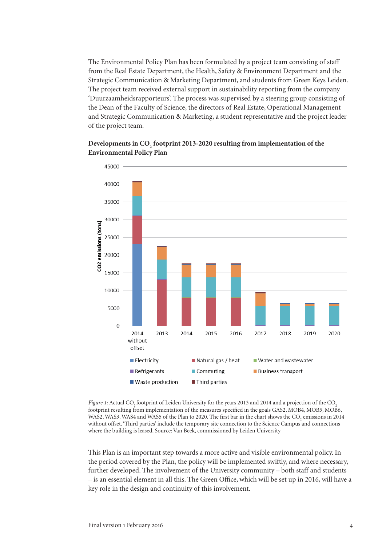The Environmental Policy Plan has been formulated by a project team consisting of staff from the Real Estate Department, the Health, Safety & Environment Department and the Strategic Communication & Marketing Department, and students from Green Keys Leiden. The project team received external support in sustainability reporting from the company 'Duurzaamheidsrapporteurs'. The process was supervised by a steering group consisting of the Dean of the Faculty of Science, the directors of Real Estate, Operational Management and Strategic Communication & Marketing, a student representative and the project leader of the project team.





*Figure 1:* Actual CO. footprint of Leiden University for the years 2013 and 2014 and a projection of the CO. footprint resulting from implementation of the measures specified in the goals GAS2, MOB4, MOB5, MOB6, WAS2, WAS3, WAS4 and WAS5 of the Plan to 2020. The first bar in the chart shows the  $\rm CO_2$  emissions in 2014 without offset. 'Third parties' include the temporary site connection to the Science Campus and connections where the building is leased. Source: Van Beek, commissioned by Leiden University

This Plan is an important step towards a more active and visible environmental policy. In the period covered by the Plan, the policy will be implemented swiftly, and where necessary, further developed. The involvement of the University community – both staff and students – is an essential element in all this. The Green Office, which will be set up in 2016, will have a key role in the design and continuity of this involvement.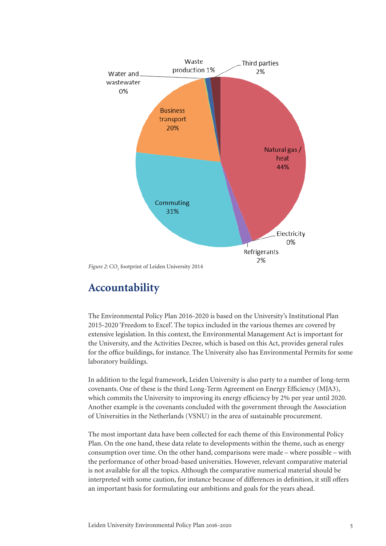

Figure 2: CO<sub>2</sub> footprint of Leiden University 2014

# **Accountability**

The Environmental Policy Plan 2016-2020 is based on the University's Institutional Plan 2015-2020 'Freedom to Excel'. The topics included in the various themes are covered by extensive legislation. In this context, the Environmental Management Act is important for the University, and the Activities Decree, which is based on this Act, provides general rules for the office buildings, for instance. The University also has Environmental Permits for some laboratory buildings.

In addition to the legal framework, Leiden University is also party to a number of long-term covenants. One of these is the third Long-Term Agreement on Energy Efficiency (MJA3), which commits the University to improving its energy efficiency by 2% per year until 2020. Another example is the covenants concluded with the government through the Association of Universities in the Netherlands (VSNU) in the area of sustainable procurement.

The most important data have been collected for each theme of this Environmental Policy Plan. On the one hand, these data relate to developments within the theme, such as energy consumption over time. On the other hand, comparisons were made – where possible – with the performance of other broad-based universities. However, relevant comparative material is not available for all the topics. Although the comparative numerical material should be interpreted with some caution, for instance because of differences in definition, it still offers an important basis for formulating our ambitions and goals for the years ahead.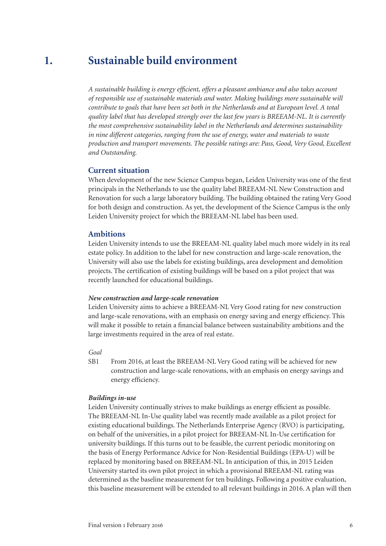#### **Sustainable build environment 1.**

*A sustainable building is energy efficient, offers a pleasant ambiance and also takes account of responsible use of sustainable materials and water. Making buildings more sustainable will contribute to goals that have been set both in the Netherlands and at European level. A total quality label that has developed strongly over the last few years is BREEAM-NL. It is currently the most comprehensive sustainability label in the Netherlands and determines sustainability in nine different categories, ranging from the use of energy, water and materials to waste production and transport movements. The possible ratings are: Pass, Good, Very Good, Excellent and Outstanding.* 

### **Current situation**

When development of the new Science Campus began, Leiden University was one of the first principals in the Netherlands to use the quality label BREEAM-NL New Construction and Renovation for such a large laboratory building. The building obtained the rating Very Good for both design and construction. As yet, the development of the Science Campus is the only Leiden University project for which the BREEAM-NL label has been used.

#### **Ambitions**

Leiden University intends to use the BREEAM-NL quality label much more widely in its real estate policy. In addition to the label for new construction and large-scale renovation, the University will also use the labels for existing buildings, area development and demolition projects. The certification of existing buildings will be based on a pilot project that was recently launched for educational buildings.

#### *New construction and large-scale renovation*

Leiden University aims to achieve a BREEAM-NL Very Good rating for new construction and large-scale renovations, with an emphasis on energy saving and energy efficiency. This will make it possible to retain a financial balance between sustainability ambitions and the large investments required in the area of real estate.

#### *Goal*

SB1 From 2016, at least the BREEAM-NL Very Good rating will be achieved for new construction and large-scale renovations, with an emphasis on energy savings and energy efficiency.

#### *Buildings in-use*

Leiden University continually strives to make buildings as energy efficient as possible. The BREEAM-NL In-Use quality label was recently made available as a pilot project for existing educational buildings. The Netherlands Enterprise Agency (RVO) is participating, on behalf of the universities, in a pilot project for BREEAM-NL In-Use certification for university buildings. If this turns out to be feasible, the current periodic monitoring on the basis of Energy Performance Advice for Non-Residential Buildings (EPA-U) will be replaced by monitoring based on BREEAM-NL. In anticipation of this, in 2015 Leiden University started its own pilot project in which a provisional BREEAM-NL rating was determined as the baseline measurement for ten buildings. Following a positive evaluation, this baseline measurement will be extended to all relevant buildings in 2016. A plan will then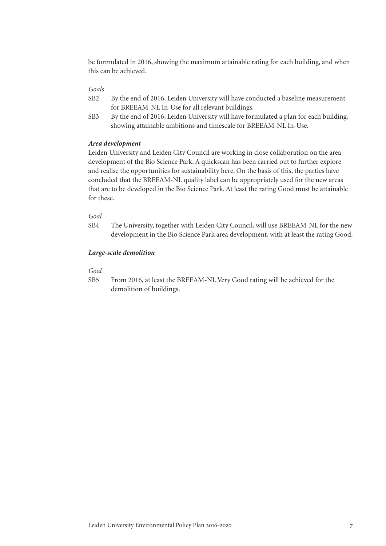be formulated in 2016, showing the maximum attainable rating for each building, and when this can be achieved.

### *Goals*

- SB2 By the end of 2016, Leiden University will have conducted a baseline measurement for BREEAM-NL In-Use for all relevant buildings.
- SB3 By the end of 2016, Leiden University will have formulated a plan for each building, showing attainable ambitions and timescale for BREEAM-NL In-Use.

#### *Area development*

Leiden University and Leiden City Council are working in close collaboration on the area development of the Bio Science Park. A quickscan has been carried out to further explore and realise the opportunities for sustainability here. On the basis of this, the parties have concluded that the BREEAM-NL quality label can be appropriately used for the new areas that are to be developed in the Bio Science Park. At least the rating Good must be attainable for these.

### *Goal*

SB4 The University, together with Leiden City Council, will use BREEAM-NL for the new development in the Bio Science Park area development, with at least the rating Good.

#### *Large-scale demolition*

#### *Goal*

SB5 From 2016, at least the BREEAM-NL Very Good rating will be achieved for the demolition of buildings.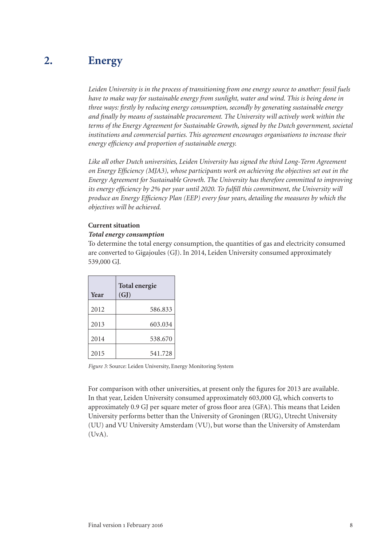#### **Energy 2.**

*Leiden University is in the process of transitioning from one energy source to another: fossil fuels have to make way for sustainable energy from sunlight, water and wind. This is being done in three ways: firstly by reducing energy consumption, secondly by generating sustainable energy and finally by means of sustainable procurement. The University will actively work within the terms of the Energy Agreement for Sustainable Growth, signed by the Dutch government, societal institutions and commercial parties. This agreement encourages organisations to increase their energy efficiency and proportion of sustainable energy.* 

*Like all other Dutch universities, Leiden University has signed the third Long-Term Agreement on Energy Efficiency (MJA3), whose participants work on achieving the objectives set out in the Energy Agreement for Sustainable Growth. The University has therefore committed to improving its energy efficiency by 2% per year until 2020. To fulfill this commitment, the University will produce an Energy Efficiency Plan (EEP) every four years, detailing the measures by which the objectives will be achieved.* 

#### **Current situation**

#### *Total energy consumption*

To determine the total energy consumption, the quantities of gas and electricity consumed are converted to Gigajoules (GJ). In 2014, Leiden University consumed approximately 539,000 GJ.

| Year | Total energie<br>(GJ) |  |
|------|-----------------------|--|
| 2012 | 586.833               |  |
| 2013 | 603.034               |  |
| 2014 | 538.670               |  |
| 2015 | 541.728               |  |

*Figure 3:* Source: Leiden University, Energy Monitoring System

For comparison with other universities, at present only the figures for 2013 are available. In that year, Leiden University consumed approximately 603,000 GJ, which converts to approximately 0.9 GJ per square meter of gross floor area (GFA). This means that Leiden University performs better than the University of Groningen (RUG), Utrecht University (UU) and VU University Amsterdam (VU), but worse than the University of Amsterdam (UvA).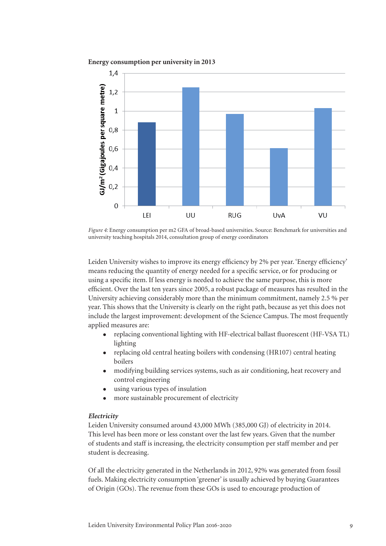

**Energy consumption per university in 2013**

*Figure 4:* Energy consumption per m2 GFA of broad-based universities. Source: Benchmark for universities and university teaching hospitals 2014, consultation group of energy coordinators

Leiden University wishes to improve its energy efficiency by 2% per year. 'Energy efficiency' means reducing the quantity of energy needed for a specific service, or for producing or using a specific item. If less energy is needed to achieve the same purpose, this is more efficient. Over the last ten years since 2005, a robust package of measures has resulted in the University achieving considerably more than the minimum commitment, namely 2.5 % per year. This shows that the University is clearly on the right path, because as yet this does not include the largest improvement: development of the Science Campus. The most frequently applied measures are:

- replacing conventional lighting with HF-electrical ballast fluorescent (HF-VSA TL) lighting
- <sup>l</sup> replacing old central heating boilers with condensing (HR107) central heating boilers
- modifying building services systems, such as air conditioning, heat recovery and control engineering
- using various types of insulation
- more sustainable procurement of electricity

#### *Electricity*

Leiden University consumed around 43,000 MWh (385,000 GJ) of electricity in 2014. This level has been more or less constant over the last few years. Given that the number of students and staff is increasing, the electricity consumption per staff member and per student is decreasing.

Of all the electricity generated in the Netherlands in 2012, 92% was generated from fossil fuels. Making electricity consumption 'greener' is usually achieved by buying Guarantees of Origin (GOs). The revenue from these GOs is used to encourage production of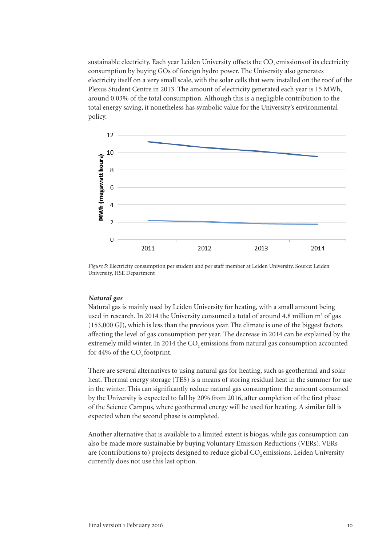sustainable electricity. Each year Leiden University offsets the CO<sub>2</sub> emissions of its electricity consumption by buying GOs of foreign hydro power. The University also generates electricity itself on a very small scale, with the solar cells that were installed on the roof of the Plexus Student Centre in 2013. The amount of electricity generated each year is 15 MWh, around 0.03% of the total consumption. Although this is a negligible contribution to the total energy saving, it nonetheless has symbolic value for the University's environmental policy.



*Figure 5:* Electricity consumption per student and per staff member at Leiden University. Source: Leiden University, HSE Department

#### *Natural gas*

Natural gas is mainly used by Leiden University for heating, with a small amount being used in research. In 2014 the University consumed a total of around 4.8 million  $m<sup>3</sup>$  of gas (153,000 GJ), which is less than the previous year. The climate is one of the biggest factors affecting the level of gas consumption per year. The decrease in 2014 can be explained by the extremely mild winter. In 2014 the CO<sub>2</sub> emissions from natural gas consumption accounted for 44% of the CO<sub>2</sub> footprint.

There are several alternatives to using natural gas for heating, such as geothermal and solar heat. Thermal energy storage (TES) is a means of storing residual heat in the summer for use in the winter. This can significantly reduce natural gas consumption: the amount consumed by the University is expected to fall by 20% from 2016, after completion of the first phase of the Science Campus, where geothermal energy will be used for heating. A similar fall is expected when the second phase is completed.

Another alternative that is available to a limited extent is biogas, while gas consumption can also be made more sustainable by buying Voluntary Emission Reductions (VERs). VERs are (contributions to) projects designed to reduce global CO<sub>2</sub> emissions. Leiden University currently does not use this last option.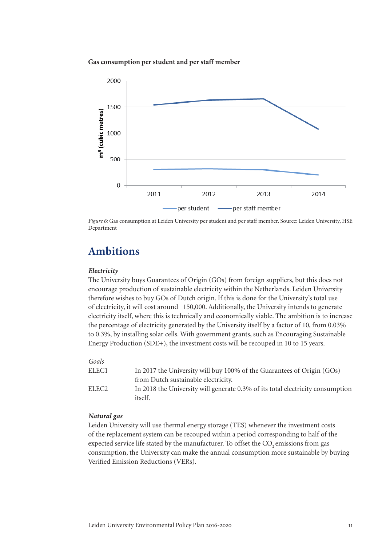**Gas consumption per student and per staff member**



*Figure 6:* Gas consumption at Leiden University per student and per staff member. Source: Leiden University, HSE Department

# **Ambitions**

#### *Electricity*

The University buys Guarantees of Origin (GOs) from foreign suppliers, but this does not encourage production of sustainable electricity within the Netherlands. Leiden University therefore wishes to buy GOs of Dutch origin. If this is done for the University's total use of electricity, it will cost around  $\bigoplus$  50,000. Additionally, the University intends to generate electricity itself, where this is technically and economically viable. The ambition is to increase the percentage of electricity generated by the University itself by a factor of 10, from 0.03% to 0.3%, by installing solar cells. With government grants, such as Encouraging Sustainable Energy Production (SDE+), the investment costs will be recouped in 10 to 15 years.

#### *Goals*

| ELEC1 | In 2017 the University will buy 100% of the Guarantees of Origin (GOs)                           |
|-------|--------------------------------------------------------------------------------------------------|
|       | from Dutch sustainable electricity.                                                              |
| ELEC2 | In 2018 the University will generate 0.3% of its total electricity consumption<br><i>itself.</i> |
|       |                                                                                                  |

### *Natural gas*

Leiden University will use thermal energy storage (TES) whenever the investment costs of the replacement system can be recouped within a period corresponding to half of the expected service life stated by the manufacturer. To offset the CO<sub>2</sub> emissions from gas consumption, the University can make the annual consumption more sustainable by buying Verified Emission Reductions (VERs).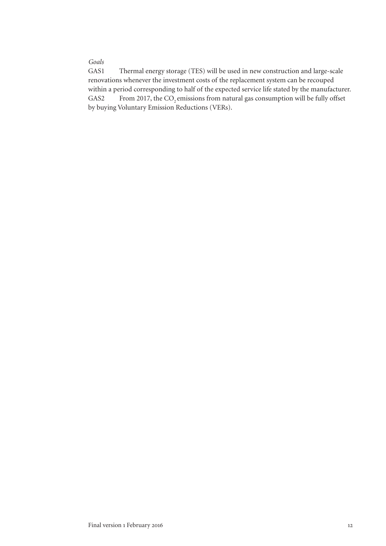### *Goals*

GAS1 Thermal energy storage (TES) will be used in new construction and large-scale renovations whenever the investment costs of the replacement system can be recouped within a period corresponding to half of the expected service life stated by the manufacturer. GAS2 From 2017, the CO<sub>2</sub> emissions from natural gas consumption will be fully offset by buying Voluntary Emission Reductions (VERs).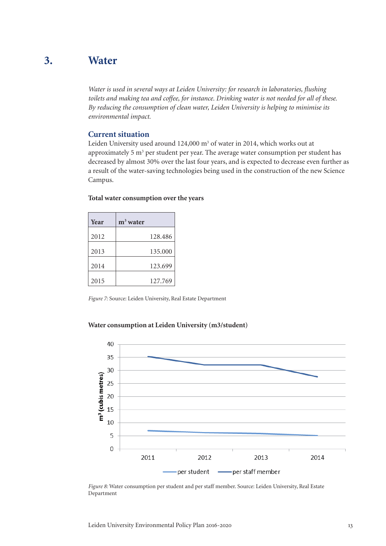#### **Water 3.**

*Water is used in several ways at Leiden University: for research in laboratories, flushing toilets and making tea and coffee, for instance. Drinking water is not needed for all of these. By reducing the consumption of clean water, Leiden University is helping to minimise its environmental impact.*

### **Current situation**

Leiden University used around 124,000 m<sup>3</sup> of water in 2014, which works out at approximately 5  $m<sup>3</sup>$  per student per year. The average water consumption per student has decreased by almost 30% over the last four years, and is expected to decrease even further as a result of the water-saving technologies being used in the construction of the new Science Campus.

| Year | $m3$ water |
|------|------------|
| 2012 | 128.486    |
| 2013 | 135,000    |
| 2014 | 123.699    |
| 2015 | 127.769    |

#### **Total water consumption over the years**

*Figure 7:* Source: Leiden University, Real Estate Department

#### **Water consumption at Leiden University (m3/student)**



*Figure 8:* Water consumption per student and per staff member. Source: Leiden University, Real Estate Department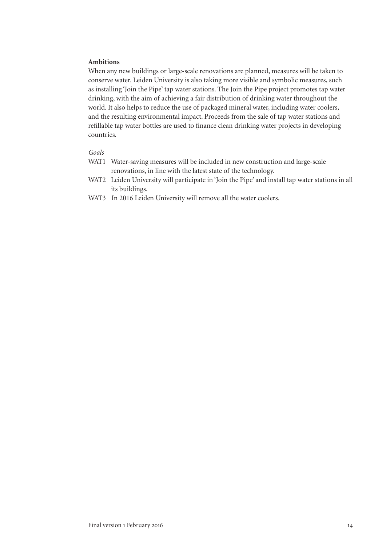#### **Ambitions**

When any new buildings or large-scale renovations are planned, measures will be taken to conserve water. Leiden University is also taking more visible and symbolic measures, such as installing 'Join the Pipe' tap water stations. The Join the Pipe project promotes tap water drinking, with the aim of achieving a fair distribution of drinking water throughout the world. It also helps to reduce the use of packaged mineral water, including water coolers, and the resulting environmental impact. Proceeds from the sale of tap water stations and refillable tap water bottles are used to finance clean drinking water projects in developing countries.

### *Goals*

- WAT1 Water-saving measures will be included in new construction and large-scale renovations, in line with the latest state of the technology.
- WAT2 Leiden University will participate in 'Join the Pipe' and install tap water stations in all its buildings.
- WAT3 In 2016 Leiden University will remove all the water coolers.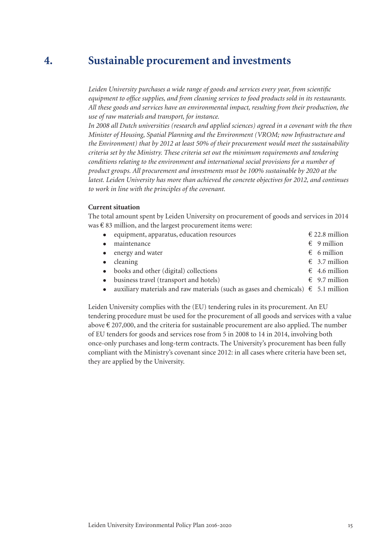#### **Sustainable procurement and investments 4.**

*Leiden University purchases a wide range of goods and services every year, from scientific equipment to office supplies, and from cleaning services to food products sold in its restaurants. All these goods and services have an environmental impact, resulting from their production, the use of raw materials and transport, for instance.* 

*In 2008 all Dutch universities (research and applied sciences) agreed in a covenant with the then Minister of Housing, Spatial Planning and the Environment (VROM; now Infrastructure and the Environment) that by 2012 at least 50% of their procurement would meet the sustainability criteria set by the Ministry. These criteria set out the minimum requirements and tendering conditions relating to the environment and international social provisions for a number of product groups. All procurement and investments must be 100% sustainable by 2020 at the*  latest. Leiden University has more than achieved the concrete objectives for 2012, and continues *to work in line with the principles of the covenant.*

#### **Current situation**

The total amount spent by Leiden University on procurement of goods and services in 2014 was  $\epsilon$  83 million, and the largest procurement items were:

| • equipment, apparatus, education resources                                                  | $\epsilon$ 22.8 million |
|----------------------------------------------------------------------------------------------|-------------------------|
| • maintenance                                                                                | $\epsilon$ 9 million    |
| • energy and water                                                                           | $\epsilon$ 6 million    |
| $\bullet$ cleaning                                                                           | $\epsilon$ 3.7 million  |
| • books and other (digital) collections                                                      | $\epsilon$ 4.6 million  |
| • business travel (transport and hotels)                                                     | $\epsilon$ 9.7 million  |
| • auxiliary materials and raw materials (such as gases and chemicals) $\epsilon$ 5.1 million |                         |
|                                                                                              |                         |

Leiden University complies with the (EU) tendering rules in its procurement. An EU tendering procedure must be used for the procurement of all goods and services with a value above  $\epsilon$  207,000, and the criteria for sustainable procurement are also applied. The number of EU tenders for goods and services rose from 5 in 2008 to 14 in 2014, involving both once-only purchases and long-term contracts. The University's procurement has been fully compliant with the Ministry's covenant since 2012: in all cases where criteria have been set, they are applied by the University.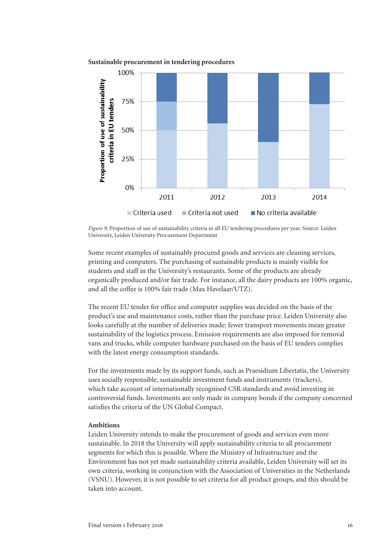



*Figure 9:* Proportion of use of sustainability criteria in all EU tendering procedures per year. Source: Leiden University, Leiden University Procurement Department

Some recent examples of sustainably procured goods and services are cleaning services, printing and computers. The purchasing of sustainable products is mainly visible for students and staff in the University's restaurants. Some of the products are already organically produced and/or fair trade. For instance, all the dairy products are 100% organic, and all the coffee is 100% fair trade (Max Havelaar/UTZ).

The recent EU tender for office and computer supplies was decided on the basis of the product's use and maintenance costs, rather than the purchase price. Leiden University also looks carefully at the number of deliveries made: fewer transport movements mean greater sustainability of the logistics process. Emission requirements are also imposed for removal vans and trucks, while computer hardware purchased on the basis of EU tenders complies with the latest energy consumption standards.

For the investments made by its support funds, such as Praesidium Libertatis, the University uses socially responsible, sustainable investment funds and instruments (trackers), which take account of internationally recognised CSR standards and avoid investing in controversial funds. Investments are only made in company bonds if the company concerned satisfies the criteria of the UN Global Compact.

#### **Ambitions**

Leiden University intends to make the procurement of goods and services even more sustainable. In 2018 the University will apply sustainability criteria to all procurement segments for which this is possible. Where the Ministry of Infrastructure and the Environment has not yet made sustainability criteria available, Leiden University will set its own criteria, working in conjunction with the Association of Universities in the Netherlands (VSNU). However, it is not possible to set criteria for all product groups, and this should be taken into account.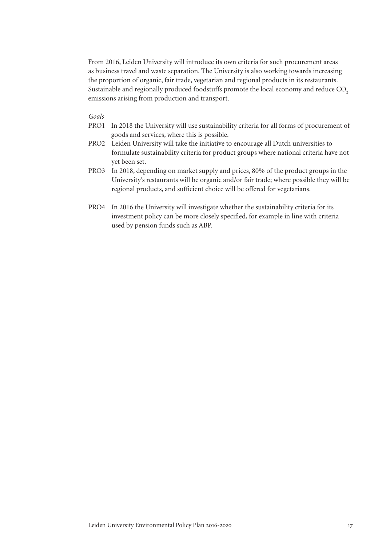From 2016, Leiden University will introduce its own criteria for such procurement areas as business travel and waste separation. The University is also working towards increasing the proportion of organic, fair trade, vegetarian and regional products in its restaurants. Sustainable and regionally produced foodstuffs promote the local economy and reduce CO<sub>2</sub> emissions arising from production and transport.

#### *Goals*

- PRO1 In 2018 the University will use sustainability criteria for all forms of procurement of goods and services, where this is possible.
- PRO2 Leiden University will take the initiative to encourage all Dutch universities to formulate sustainability criteria for product groups where national criteria have not yet been set.
- PRO3 In 2018, depending on market supply and prices, 80% of the product groups in the University's restaurants will be organic and/or fair trade; where possible they will be regional products, and sufficient choice will be offered for vegetarians.
- PRO4 In 2016 the University will investigate whether the sustainability criteria for its investment policy can be more closely specified, for example in line with criteria used by pension funds such as ABP.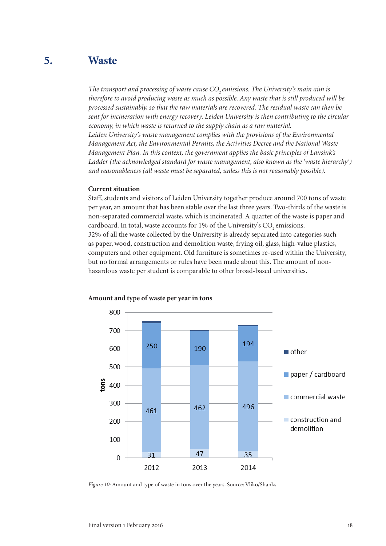#### **Waste 5.**

The transport and processing of waste cause CO<sub>2</sub> emissions. The University's main aim is *therefore to avoid producing waste as much as possible. Any waste that is still produced will be processed sustainably, so that the raw materials are recovered. The residual waste can then be sent for incineration with energy recovery. Leiden University is then contributing to the circular economy, in which waste is returned to the supply chain as a raw material. Leiden University's waste management complies with the provisions of the Environmental Management Act, the Environmental Permits, the Activities Decree and the National Waste Management Plan. In this context, the government applies the basic principles of Lansink's Ladder (the acknowledged standard for waste management, also known as the 'waste hierarchy') and reasonableness (all waste must be separated, unless this is not reasonably possible).*

#### **Current situation**

Staff, students and visitors of Leiden University together produce around 700 tons of waste per year, an amount that has been stable over the last three years. Two-thirds of the waste is non-separated commercial waste, which is incinerated. A quarter of the waste is paper and cardboard. In total, waste accounts for 1% of the University's CO<sub>2</sub> emissions. 32% of all the waste collected by the University is already separated into categories such as paper, wood, construction and demolition waste, frying oil, glass, high-value plastics, computers and other equipment. Old furniture is sometimes re-used within the University, but no formal arrangements or rules have been made about this. The amount of nonhazardous waste per student is comparable to other broad-based universities.



#### **Amount and type of waste per year in tons**

*Figure 10:* Amount and type of waste in tons over the years. Source: Vliko/Shanks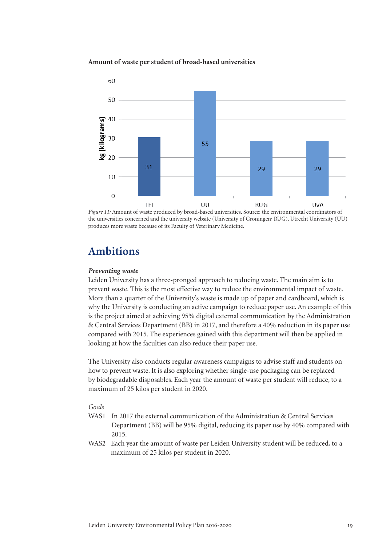#### **Amount of waste per student of broad-based universities**





## **Ambitions**

#### *Preventing waste*

Leiden University has a three-pronged approach to reducing waste. The main aim is to prevent waste. This is the most effective way to reduce the environmental impact of waste. More than a quarter of the University's waste is made up of paper and cardboard, which is why the University is conducting an active campaign to reduce paper use. An example of this is the project aimed at achieving 95% digital external communication by the Administration & Central Services Department (BB) in 2017, and therefore a 40% reduction in its paper use compared with 2015. The experiences gained with this department will then be applied in looking at how the faculties can also reduce their paper use.

The University also conducts regular awareness campaigns to advise staff and students on how to prevent waste. It is also exploring whether single-use packaging can be replaced by biodegradable disposables. Each year the amount of waste per student will reduce, to a maximum of 25 kilos per student in 2020.

#### *Goals*

- WAS1 In 2017 the external communication of the Administration & Central Services Department (BB) will be 95% digital, reducing its paper use by 40% compared with 2015.
- WAS2 Each year the amount of waste per Leiden University student will be reduced, to a maximum of 25 kilos per student in 2020.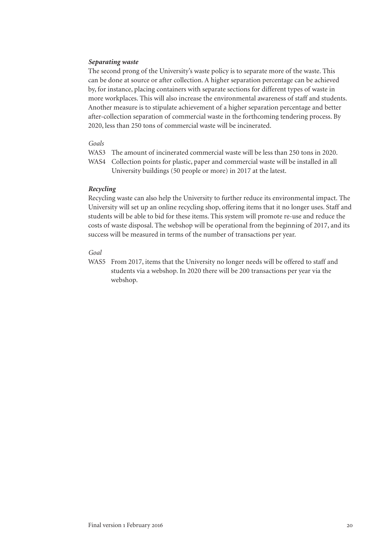#### *Separating waste*

The second prong of the University's waste policy is to separate more of the waste. This can be done at source or after collection. A higher separation percentage can be achieved by, for instance, placing containers with separate sections for different types of waste in more workplaces. This will also increase the environmental awareness of staff and students. Another measure is to stipulate achievement of a higher separation percentage and better after-collection separation of commercial waste in the forthcoming tendering process. By 2020, less than 250 tons of commercial waste will be incinerated.

#### *Goals*

- WAS3 The amount of incinerated commercial waste will be less than 250 tons in 2020.
- WAS4 Collection points for plastic, paper and commercial waste will be installed in all University buildings (50 people or more) in 2017 at the latest.

#### *Recycling*

Recycling waste can also help the University to further reduce its environmental impact. The University will set up an online recycling shop, offering items that it no longer uses. Staff and students will be able to bid for these items. This system will promote re-use and reduce the costs of waste disposal. The webshop will be operational from the beginning of 2017, and its success will be measured in terms of the number of transactions per year.

### *Goal*

WAS5 From 2017, items that the University no longer needs will be offered to staff and students via a webshop. In 2020 there will be 200 transactions per year via the webshop.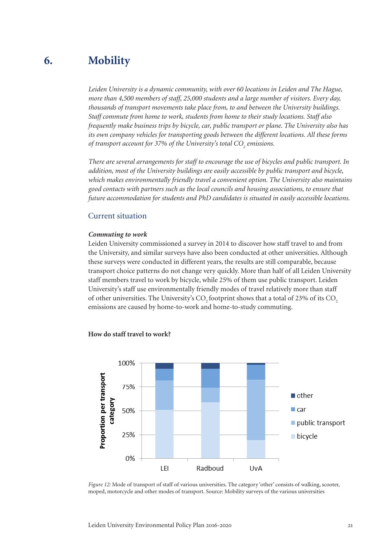#### **Mobility 6.**

*Leiden University is a dynamic community, with over 60 locations in Leiden and The Hague, more than 4,500 members of staff, 25,000 students and a large number of visitors. Every day, thousands of transport movements take place from, to and between the University buildings. Staff commute from home to work, students from home to their study locations. Staff also frequently make business trips by bicycle, car, public transport or plane. The University also has its own company vehicles for transporting goods between the different locations. All these forms of transport account for 37% of the University's total CO<sub>2</sub> emissions.* 

*There are several arrangements for staff to encourage the use of bicycles and public transport. In addition, most of the University buildings are easily accessible by public transport and bicycle, which makes environmentally friendly travel a convenient option. The University also maintains good contacts with partners such as the local councils and housing associations, to ensure that future accommodation for students and PhD candidates is situated in easily accessible locations.*

### Current situation

#### *Commuting to work*

Leiden University commissioned a survey in 2014 to discover how staff travel to and from the University, and similar surveys have also been conducted at other universities. Although these surveys were conducted in different years, the results are still comparable, because transport choice patterns do not change very quickly. More than half of all Leiden University staff members travel to work by bicycle, while 25% of them use public transport. Leiden University's staff use environmentally friendly modes of travel relatively more than staff of other universities. The University's CO<sub>2</sub> footprint shows that a total of 23% of its CO<sub>2</sub> emissions are caused by home-to-work and home-to-study commuting.

#### **How do staff travel to work?**



*Figure 12:* Mode of transport of staff of various universities. The category 'other' consists of walking, scooter, moped, motorcycle and other modes of transport. Source: Mobility surveys of the various universities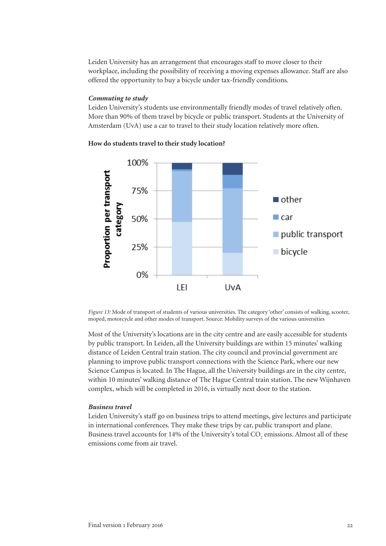Leiden University has an arrangement that encourages staff to move closer to their workplace, including the possibility of receiving a moving expenses allowance. Staff are also offered the opportunity to buy a bicycle under tax-friendly conditions.

#### *Commuting to study*

Leiden University's students use environmentally friendly modes of travel relatively often. More than 90% of them travel by bicycle or public transport. Students at the University of Amsterdam (UvA) use a car to travel to their study location relatively more often.





*Figure 13:* Mode of transport of students of various universities. The category 'other' consists of walking, scooter, moped, motorcycle and other modes of transport. Source: Mobility surveys of the various universities

Most of the University's locations are in the city centre and are easily accessible for students by public transport. In Leiden, all the University buildings are within 15 minutes' walking distance of Leiden Central train station. The city council and provincial government are planning to improve public transport connections with the Science Park, where our new Science Campus is located. In The Hague, all the University buildings are in the city centre, within 10 minutes' walking distance of The Hague Central train station. The new Wijnhaven complex, which will be completed in 2016, is virtually next door to the station.

#### *Business travel*

Leiden University's staff go on business trips to attend meetings, give lectures and participate in international conferences. They make these trips by car, public transport and plane. Business travel accounts for 14% of the University's total  $\mathrm{CO}_2$  emissions. Almost all of these emissions come from air travel.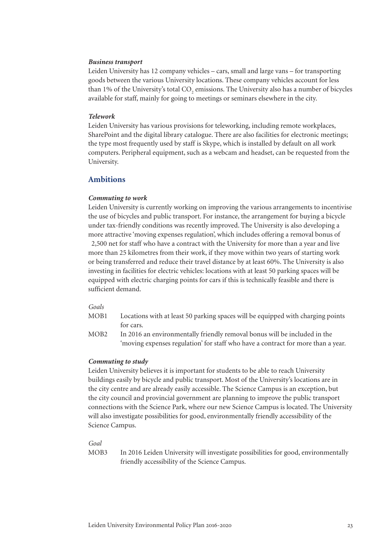#### *Business transport*

Leiden University has 12 company vehicles – cars, small and large vans – for transporting goods between the various University locations. These company vehicles account for less than 1% of the University's total  $\mathrm{CO}_2$  emissions. The University also has a number of bicycles available for staff, mainly for going to meetings or seminars elsewhere in the city.

#### *Telework*

Leiden University has various provisions for teleworking, including remote workplaces, SharePoint and the digital library catalogue. There are also facilities for electronic meetings; the type most frequently used by staff is Skype, which is installed by default on all work computers. Peripheral equipment, such as a webcam and headset, can be requested from the University.

#### **Ambitions**

#### *Commuting to work*

Leiden University is currently working on improving the various arrangements to incentivise the use of bicycles and public transport. For instance, the arrangement for buying a bicycle under tax-friendly conditions was recently improved. The University is also developing a more attractive 'moving expenses regulation', which includes offering a removal bonus of  $\epsilon$ ,500 net for staff who have a contract with the University for more than a year and live more than 25 kilometres from their work, if they move within two years of starting work or being transferred and reduce their travel distance by at least 60%. The University is also investing in facilities for electric vehicles: locations with at least 50 parking spaces will be equipped with electric charging points for cars if this is technically feasible and there is sufficient demand.

#### *Goals*

- MOB1 Locations with at least 50 parking spaces will be equipped with charging points for cars.
- MOB2 In 2016 an environmentally friendly removal bonus will be included in the 'moving expenses regulation' for staff who have a contract for more than a year.

#### *Commuting to study*

Leiden University believes it is important for students to be able to reach University buildings easily by bicycle and public transport. Most of the University's locations are in the city centre and are already easily accessible. The Science Campus is an exception, but the city council and provincial government are planning to improve the public transport connections with the Science Park, where our new Science Campus is located. The University will also investigate possibilities for good, environmentally friendly accessibility of the Science Campus.

*Goal*

MOB3 In 2016 Leiden University will investigate possibilities for good, environmentally friendly accessibility of the Science Campus.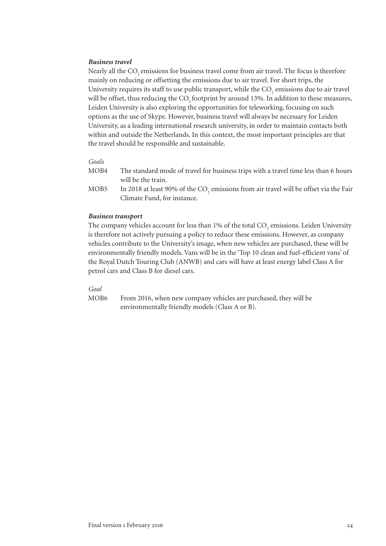#### *Business travel*

Nearly all the CO<sub>2</sub> emissions for business travel come from air travel. The focus is therefore mainly on reducing or offsetting the emissions due to air travel. For short trips, the University requires its staff to use public transport, while the  $\mathrm{CO}_2$  emissions due to air travel will be offset, thus reducing the CO<sub>2</sub> footprint by around 13%. In addition to these measures, Leiden University is also exploring the opportunities for teleworking, focusing on such options as the use of Skype. However, business travel will always be necessary for Leiden University, as a leading international research university, in order to maintain contacts both within and outside the Netherlands. In this context, the most important principles are that the travel should be responsible and sustainable.

#### *Goals*

- MOB4 The standard mode of travel for business trips with a travel time less than 6 hours will be the train.
- MOB5 In 2018 at least 90% of the  $\text{CO}_2$  emissions from air travel will be offset via the Fair Climate Fund, for instance.

#### *Business transport*

The company vehicles account for less than 1% of the total  $\mathrm{CO}_2$  emissions. Leiden University is therefore not actively pursuing a policy to reduce these emissions. However, as company vehicles contribute to the University's image, when new vehicles are purchased, these will be environmentally friendly models. Vans will be in the 'Top 10 clean and fuel-efficient vans' of the Royal Dutch Touring Club (ANWB) and cars will have at least energy label Class A for petrol cars and Class B for diesel cars.

#### *Goal*

MOB6 From 2016, when new company vehicles are purchased, they will be environmentally friendly models (Class A or B).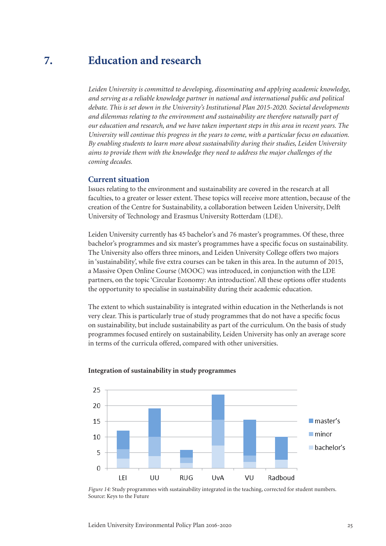#### **Education and research 7.**

*Leiden University is committed to developing, disseminating and applying academic knowledge, and serving as a reliable knowledge partner in national and international public and political debate. This is set down in the University's Institutional Plan 2015-2020. Societal developments and dilemmas relating to the environment and sustainability are therefore naturally part of our education and research, and we have taken important steps in this area in recent years. The University will continue this progress in the years to come, with a particular focus on education. By enabling students to learn more about sustainability during their studies, Leiden University aims to provide them with the knowledge they need to address the major challenges of the coming decades.* 

#### **Current situation**

Issues relating to the environment and sustainability are covered in the research at all faculties, to a greater or lesser extent. These topics will receive more attention, because of the creation of the Centre for Sustainability, a collaboration between Leiden University, Delft University of Technology and Erasmus University Rotterdam (LDE).

Leiden University currently has 45 bachelor's and 76 master's programmes. Of these, three bachelor's programmes and six master's programmes have a specific focus on sustainability. The University also offers three minors, and Leiden University College offers two majors in 'sustainability', while five extra courses can be taken in this area. In the autumn of 2015, a Massive Open Online Course (MOOC) was introduced, in conjunction with the LDE partners, on the topic 'Circular Economy: An introduction'. All these options offer students the opportunity to specialise in sustainability during their academic education.

The extent to which sustainability is integrated within education in the Netherlands is not very clear. This is particularly true of study programmes that do not have a specifi c focus on sustainability, but include sustainability as part of the curriculum. On the basis of study programmes focused entirely on sustainability, Leiden University has only an average score in terms of the curricula offered, compared with other universities.



#### **Integration of sustainability in study programmes**

*Figure 14:* Study programmes with sustainability integrated in the teaching, corrected for student numbers. Source: Keys to the Future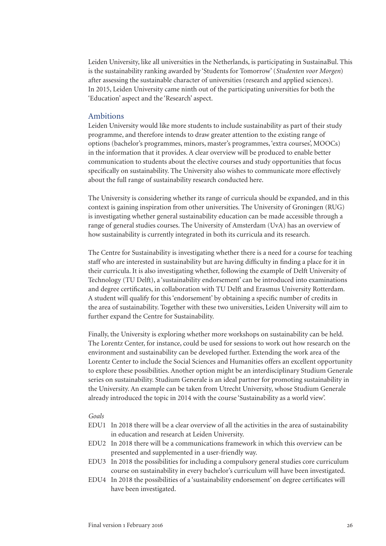Leiden University, like all universities in the Netherlands, is participating in SustainaBul. This is the sustainability ranking awarded by 'Students for Tomorrow' (*Studenten voor Morgen*) after assessing the sustainable character of universities (research and applied sciences). In 2015, Leiden University came ninth out of the participating universities for both the 'Education' aspect and the 'Research' aspect.

#### Ambitions

Leiden University would like more students to include sustainability as part of their study programme, and therefore intends to draw greater attention to the existing range of options (bachelor's programmes, minors, master's programmes, 'extra courses', MOOCs) in the information that it provides. A clear overview will be produced to enable better communication to students about the elective courses and study opportunities that focus specifically on sustainability. The University also wishes to communicate more effectively about the full range of sustainability research conducted here.

The University is considering whether its range of curricula should be expanded, and in this context is gaining inspiration from other universities. The University of Groningen (RUG) is investigating whether general sustainability education can be made accessible through a range of general studies courses. The University of Amsterdam (UvA) has an overview of how sustainability is currently integrated in both its curricula and its research.

The Centre for Sustainability is investigating whether there is a need for a course for teaching staff who are interested in sustainability but are having difficulty in finding a place for it in their curricula. It is also investigating whether, following the example of Delft University of Technology (TU Delft), a 'sustainability endorsement' can be introduced into examinations and degree certificates, in collaboration with TU Delft and Erasmus University Rotterdam. A student will qualify for this 'endorsement' by obtaining a specific number of credits in the area of sustainability. Together with these two universities, Leiden University will aim to further expand the Centre for Sustainability.

Finally, the University is exploring whether more workshops on sustainability can be held. The Lorentz Center, for instance, could be used for sessions to work out how research on the environment and sustainability can be developed further. Extending the work area of the Lorentz Center to include the Social Sciences and Humanities offers an excellent opportunity to explore these possibilities. Another option might be an interdisciplinary Studium Generale series on sustainability. Studium Generale is an ideal partner for promoting sustainability in the University. An example can be taken from Utrecht University, whose Studium Generale already introduced the topic in 2014 with the course 'Sustainability as a world view'.

#### *Goals*

- EDU1 In 2018 there will be a clear overview of all the activities in the area of sustainability in education and research at Leiden University.
- EDU2 In 2018 there will be a communications framework in which this overview can be presented and supplemented in a user-friendly way.
- EDU3 In 2018 the possibilities for including a compulsory general studies core curriculum course on sustainability in every bachelor's curriculum will have been investigated.
- EDU4 In 2018 the possibilities of a 'sustainability endorsement' on degree certificates will have been investigated.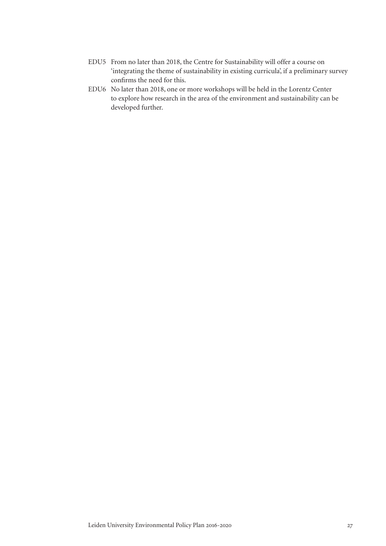- EDU5 From no later than 2018, the Centre for Sustainability will offer a course on 'integrating the theme of sustainability in existing curricula', if a preliminary survey confirms the need for this.
- EDU6 No later than 2018, one or more workshops will be held in the Lorentz Center to explore how research in the area of the environment and sustainability can be developed further.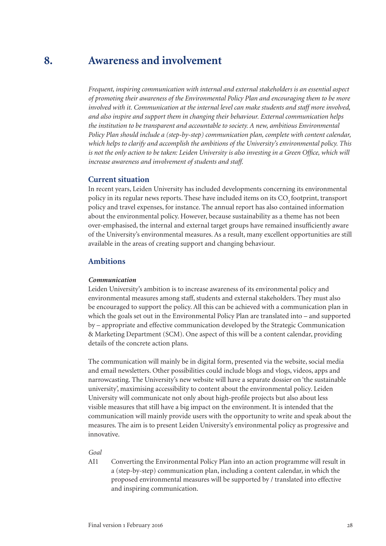#### **Awareness and involvement 8.**

*Frequent, inspiring communication with internal and external stakeholders is an essential aspect of promoting their awareness of the Environmental Policy Plan and encouraging them to be more involved with it. Communication at the internal level can make students and staff more involved, and also inspire and support them in changing their behaviour. External communication helps the institution to be transparent and accountable to society. A new, ambitious Environmental Policy Plan should include a (step-by-step) communication plan, complete with content calendar, which helps to clarify and accomplish the ambitions of the University's environmental policy. This*  is not the only action to be taken: Leiden University is also investing in a Green Office, which will *increase awareness and involvement of students and staff.*

#### **Current situation**

In recent years, Leiden University has included developments concerning its environmental policy in its regular news reports. These have included items on its CO<sub>2</sub> footprint, transport policy and travel expenses, for instance. The annual report has also contained information about the environmental policy. However, because sustainability as a theme has not been over-emphasised, the internal and external target groups have remained insufficiently aware of the University's environmental measures. As a result, many excellent opportunities are still available in the areas of creating support and changing behaviour.

#### **Ambitions**

#### *Communication*

Leiden University's ambition is to increase awareness of its environmental policy and environmental measures among staff, students and external stakeholders. They must also be encouraged to support the policy. All this can be achieved with a communication plan in which the goals set out in the Environmental Policy Plan are translated into – and supported by – appropriate and effective communication developed by the Strategic Communication & Marketing Department (SCM). One aspect of this will be a content calendar, providing details of the concrete action plans.

The communication will mainly be in digital form, presented via the website, social media and email newsletters. Other possibilities could include blogs and vlogs, videos, apps and narrowcasting. The University's new website will have a separate dossier on 'the sustainable university', maximising accessibility to content about the environmental policy. Leiden University will communicate not only about high-profile projects but also about less visible measures that still have a big impact on the environment. It is intended that the communication will mainly provide users with the opportunity to write and speak about the measures. The aim is to present Leiden University's environmental policy as progressive and innovative.

#### *Goal*

AI1 Converting the Environmental Policy Plan into an action programme will result in a (step-by-step) communication plan, including a content calendar, in which the proposed environmental measures will be supported by / translated into effective and inspiring communication.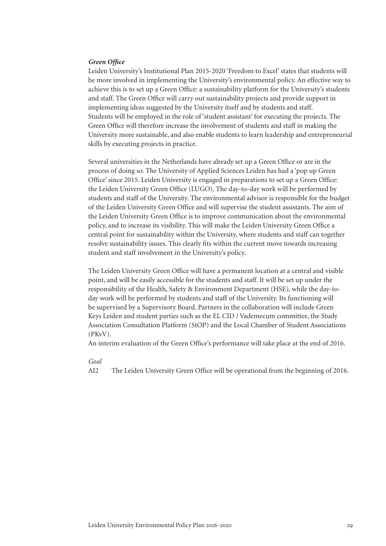#### *Green Office*

Leiden University's Institutional Plan 2015-2020 'Freedom to Excel' states that students will be more involved in implementing the University's environmental policy. An effective way to achieve this is to set up a Green Office: a sustainability platform for the University's students and staff. The Green Office will carry out sustainability projects and provide support in implementing ideas suggested by the University itself and by students and staff. Students will be employed in the role of 'student assistant' for executing the projects. The Green Office will therefore increase the involvement of students and staff in making the University more sustainable, and also enable students to learn leadership and entrepreneurial skills by executing projects in practice.

Several universities in the Netherlands have already set up a Green Office or are in the process of doing so. The University of Applied Sciences Leiden has had a 'pop up Green Office' since 2015. Leiden University is engaged in preparations to set up a Green Office: the Leiden University Green Office (LUGO). The day-to-day work will be performed by students and staff of the University. The environmental advisor is responsible for the budget of the Leiden University Green Office and will supervise the student assistants. The aim of the Leiden University Green Office is to improve communication about the environmental policy, and to increase its visibility. This will make the Leiden University Green Office a central point for sustainability within the University, where students and staff can together resolve sustainability issues. This clearly fits within the current move towards increasing student and staff involvement in the University's policy.

The Leiden University Green Office will have a permanent location at a central and visible point, and will be easily accessible for the students and staff. It will be set up under the responsibility of the Health, Safety & Environment Department (HSE), while the day-today work will be performed by students and staff of the University. Its functioning will be supervised by a Supervisory Board. Partners in the collaboration will include Green Keys Leiden and student parties such as the EL CID / Vademecum committee, the Study Association Consultation Platform (StOP) and the Local Chamber of Student Associations (PKvV).

An interim evaluation of the Green Office's performance will take place at the end of 2016.

#### *Goal*

AI2 The Leiden University Green Office will be operational from the beginning of 2016.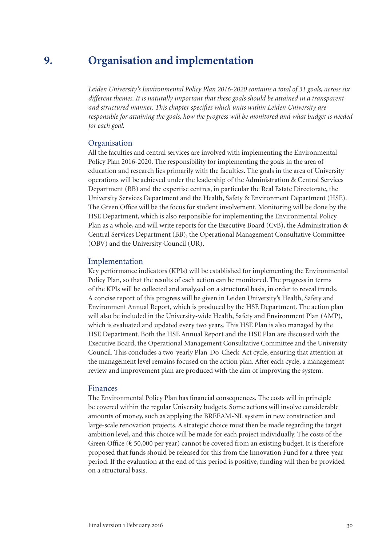#### **Organisation and implementation 9.**

*Leiden University's Environmental Policy Plan 2016-2020 contains a total of 31 goals, across six different themes. It is naturally important that these goals should be attained in a transparent and structured manner. This chapter specifies which units within Leiden University are responsible for attaining the goals, how the progress will be monitored and what budget is needed for each goal.*

### **Organisation**

All the faculties and central services are involved with implementing the Environmental Policy Plan 2016-2020. The responsibility for implementing the goals in the area of education and research lies primarily with the faculties. The goals in the area of University operations will be achieved under the leadership of the Administration & Central Services Department (BB) and the expertise centres, in particular the Real Estate Directorate, the University Services Department and the Health, Safety & Environment Department (HSE). The Green Office will be the focus for student involvement. Monitoring will be done by the HSE Department, which is also responsible for implementing the Environmental Policy Plan as a whole, and will write reports for the Executive Board (CvB), the Administration & Central Services Department (BB), the Operational Management Consultative Committee (OBV) and the University Council (UR).

### Implementation

Key performance indicators (KPIs) will be established for implementing the Environmental Policy Plan, so that the results of each action can be monitored. The progress in terms of the KPIs will be collected and analysed on a structural basis, in order to reveal trends. A concise report of this progress will be given in Leiden University's Health, Safety and Environment Annual Report, which is produced by the HSE Department. The action plan will also be included in the University-wide Health, Safety and Environment Plan (AMP), which is evaluated and updated every two years. This HSE Plan is also managed by the HSE Department. Both the HSE Annual Report and the HSE Plan are discussed with the Executive Board, the Operational Management Consultative Committee and the University Council. This concludes a two-yearly Plan-Do-Check-Act cycle, ensuring that attention at the management level remains focused on the action plan. After each cycle, a management review and improvement plan are produced with the aim of improving the system.

#### Finances

The Environmental Policy Plan has financial consequences. The costs will in principle be covered within the regular University budgets. Some actions will involve considerable amounts of money, such as applying the BREEAM-NL system in new construction and large-scale renovation projects. A strategic choice must then be made regarding the target ambition level, and this choice will be made for each project individually. The costs of the Green Office ( $\epsilon$  50,000 per year) cannot be covered from an existing budget. It is therefore proposed that funds should be released for this from the Innovation Fund for a three-year period. If the evaluation at the end of this period is positive, funding will then be provided on a structural basis.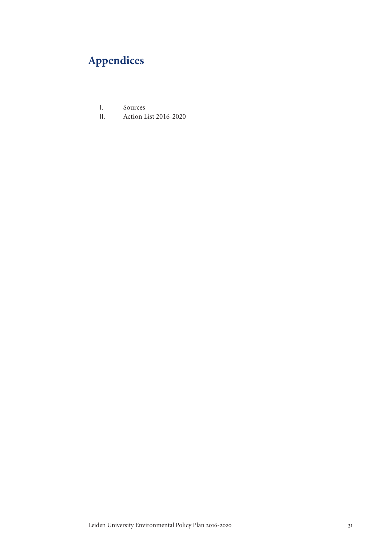# **Appendices**

- I. Sources
- II. Action List 2016-2020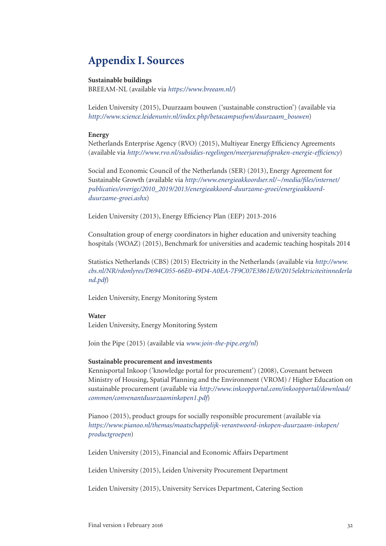# **Appendix I. Sources**

#### **Sustainable buildings**

BREEAM-NL (available via *https://www.breeam.nl/*)

Leiden University (2015), Duurzaam bouwen ('sustainable construction') (available via *http://www.science.leidenuniv.nl/index.php/betacampusfwn/duurzaam\_bouwen*)

#### **Energy**

Netherlands Enterprise Agency (RVO) (2015), Multiyear Energy Efficiency Agreements (available via *http://www.rvo.nl/subsidies-regelingen/meerjarenafspraken-energie-efficiency*)

Social and Economic Council of the Netherlands (SER) (2013), Energy Agreement for Sustainable Growth (available via *http://www.energieakkoordser.nl/~/media/files/internet/ publicaties/overige/2010\_2019/2013/energieakkoord-duurzame-groei/energieakkoordduurzame-groei.ashx*)

Leiden University (2013), Energy Efficiency Plan (EEP) 2013-2016

Consultation group of energy coordinators in higher education and university teaching hospitals (WOAZ) (2015), Benchmark for universities and academic teaching hospitals 2014

Statistics Netherlands (CBS) (2015) Electricity in the Netherlands (available via *http://www. cbs.nl/NR/rdonlyres/D694C055-66E0-49D4-A0EA-7F9C07E3861E/0/2015elektriciteitinnederla nd.pdf*)

Leiden University, Energy Monitoring System

#### **Water**

Leiden University, Energy Monitoring System

Join the Pipe (2015) (available via *www.join-the-pipe.org/nl*)

#### **Sustainable procurement and investments**

Kennisportal Inkoop ('knowledge portal for procurement') (2008), Covenant between Ministry of Housing, Spatial Planning and the Environment (VROM) / Higher Education on sustainable procurement (available via *http://www.inkoopportal.com/inkoopportal/download/ common/convenantduurzaaminkopen1.pdf*)

Pianoo (2015), product groups for socially responsible procurement (available via *https://www.pianoo.nl/themas/maatschappelijk-verantwoord-inkopen-duurzaam-inkopen/ productgroepen*)

Leiden University (2015), Financial and Economic Affairs Department

Leiden University (2015), Leiden University Procurement Department

Leiden University (2015), University Services Department, Catering Section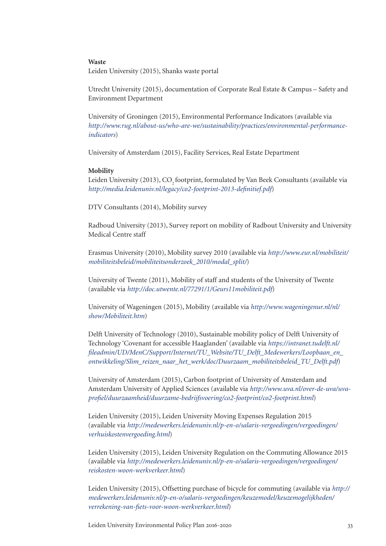#### **Waste**

Leiden University (2015), Shanks waste portal

Utrecht University (2015), documentation of Corporate Real Estate & Campus – Safety and Environment Department

University of Groningen (2015), Environmental Performance Indicators (available via *http://www.rug.nl/about-us/who-are-we/sustainability/practices/environmental-performanceindicators*)

University of Amsterdam (2015), Facility Services, Real Estate Department

#### **Mobility**

Leiden University (2013), CO<sub>2</sub> footprint, formulated by Van Beek Consultants (available via *http://media.leidenuniv.nl/legacy/co2-footprint-2013-definitief.pdf*)

DTV Consultants (2014), Mobility survey

Radboud University (2013), Survey report on mobility of Radbout University and University Medical Centre staff

Erasmus University (2010), Mobility survey 2010 (available via *http://www.eur.nl/mobiliteit/ mobiliteitsbeleid/mobiliteitsonderzoek\_2010/modal\_split/*)

University of Twente (2011), Mobility of staff and students of the University of Twente (available via *http://doc.utwente.nl/77291/1/Geurs11mobiliteit.pdf*)

University of Wageningen (2015), Mobility (available via *http://www.wageningenur.nl/nl/ show/Mobiliteit.htm*)

Delft University of Technology (2010), Sustainable mobility policy of Delft University of Technology 'Covenant for accessible Haaglanden' (available via *https://intranet.tudelft.nl/ fileadmin/UD/MenC/Support/Internet/TU\_Website/TU\_Delft\_Medewerkers/Loopbaan\_en\_ ontwikkeling/Slim\_reizen\_naar\_het\_werk/doc/Duurzaam\_mobiliteitsbeleid\_TU\_Delft.pdf*)

University of Amsterdam (2015), Carbon footprint of University of Amsterdam and Amsterdam University of Applied Sciences (available via *http://www.uva.nl/over-de-uva/uvaprofiel/duurzaamheid/duurzame-bedrijfsvoering/co2-footprint/co2-footprint.html*)

Leiden University (2015), Leiden University Moving Expenses Regulation 2015 (available via *http://medewerkers.leidenuniv.nl/p-en-o/salaris-vergoedingen/vergoedingen/ verhuiskostenvergoeding.html*)

Leiden University (2015), Leiden University Regulation on the Commuting Allowance 2015 (available via *http://medewerkers.leidenuniv.nl/p-en-o/salaris-vergoedingen/vergoedingen/ reiskosten-woon-werkverkeer.html*)

Leiden University (2015), Offsetting purchase of bicycle for commuting (available via *http:// medewerkers.leidenuniv.nl/p-en-o/salaris-vergoedingen/keuzemodel/keuzemogelijkheden/ verrekening-van-fiets-voor-woon-werkverkeer.html*)

Leiden University Environmental Policy Plan 2016-2020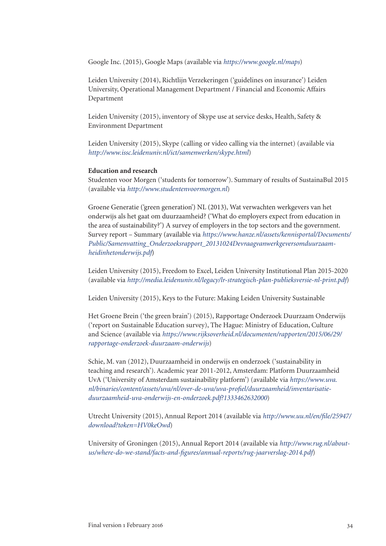Google Inc. (2015), Google Maps (available via *https://www.google.nl/maps*)

Leiden University (2014), Richtlijn Verzekeringen ('guidelines on insurance') Leiden University, Operational Management Department / Financial and Economic Affairs Department

Leiden University (2015), inventory of Skype use at service desks, Health, Safety & Environment Department

Leiden University (2015), Skype (calling or video calling via the internet) (available via *http://www.issc.leidenuniv.nl/ict/samenwerken/skype.html*)

#### **Education and research**

Studenten voor Morgen ('students for tomorrow'). Summary of results of SustainaBul 2015 (available via *http://www.studentenvoormorgen.nl*)

Groene Generatie ('green generation') NL (2013), Wat verwachten werkgevers van het onderwijs als het gaat om duurzaamheid? ('What do employers expect from education in the area of sustainability?') A survey of employers in the top sectors and the government. Survey report – Summary (available via *https://www.hanze.nl/assets/kennisportal/Documents/ Public/Samenvatting\_Onderzoeksrapport\_20131024Devraagvanwerkgeversomduurzaamheidinhetonderwijs.pdf*)

Leiden University (2015), Freedom to Excel, Leiden University Institutional Plan 2015-2020 (available via *http://media.leidenuniv.nl/legacy/lr-strategisch-plan-publieksversie-nl-print.pdf*)

Leiden University (2015), Keys to the Future: Making Leiden University Sustainable

Het Groene Brein ('the green brain') (2015), Rapportage Onderzoek Duurzaam Onderwijs ('report on Sustainable Education survey), The Hague: Ministry of Education, Culture and Science (available via *https://www.rijksoverheid.nl/documenten/rapporten/2015/06/29/ rapportage-onderzoek-duurzaam-onderwijs*)

Schie, M. van (2012), Duurzaamheid in onderwijs en onderzoek ('sustainability in teaching and research'). Academic year 2011-2012, Amsterdam: Platform Duurzaamheid UvA ('University of Amsterdam sustainability platform') (available via *https://www.uva. nl/binaries/content/assets/uva/nl/over-de-uva/uva-profiel/duurzaamheid/inventarisatieduurzaamheid-uva-onderwijs-en-onderzoek.pdf?1333462632000*)

Utrecht University (2015), Annual Report 2014 (available via *http://www.uu.nl/en/file/25947/ download?token=HV0keOwd*)

University of Groningen (2015), Annual Report 2014 (available via *http://www.rug.nl/aboutus/where-do-we-stand/facts-and-figures/annual-reports/rug-jaarverslag-2014.pdf*)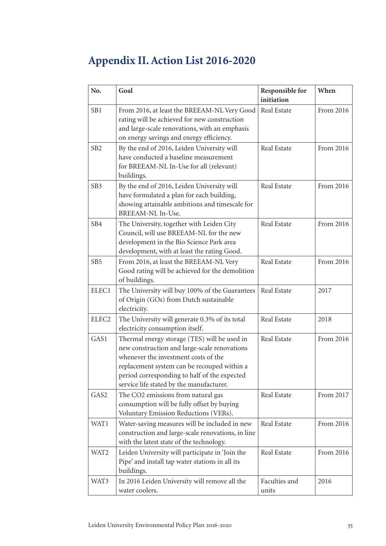# **Appendix II. Action List 2016-2020**

| No.               | Goal                                                                                                                                                                                                                                                                            | Responsible for<br>initiation | When      |
|-------------------|---------------------------------------------------------------------------------------------------------------------------------------------------------------------------------------------------------------------------------------------------------------------------------|-------------------------------|-----------|
| SB1               | From 2016, at least the BREEAM-NL Very Good<br>rating will be achieved for new construction<br>and large-scale renovations, with an emphasis<br>on energy savings and energy efficiency.                                                                                        | Real Estate                   | From 2016 |
| SB <sub>2</sub>   | By the end of 2016, Leiden University will<br>have conducted a baseline measurement<br>for BREEAM-NL In-Use for all (relevant)<br>buildings.                                                                                                                                    | Real Estate                   | From 2016 |
| SB <sub>3</sub>   | By the end of 2016, Leiden University will<br>have formulated a plan for each building,<br>showing attainable ambitions and timescale for<br>BREEAM-NL In-Use.                                                                                                                  | Real Estate                   | From 2016 |
| SB4               | The University, together with Leiden City<br>Council, will use BREEAM-NL for the new<br>development in the Bio Science Park area<br>development, with at least the rating Good.                                                                                                 | Real Estate                   | From 2016 |
| SB <sub>5</sub>   | From 2016, at least the BREEAM-NL Very<br>Good rating will be achieved for the demolition<br>of buildings.                                                                                                                                                                      | Real Estate                   | From 2016 |
| ELEC1             | The University will buy 100% of the Guarantees<br>of Origin (GOs) from Dutch sustainable<br>electricity.                                                                                                                                                                        | Real Estate                   | 2017      |
| ELEC <sub>2</sub> | The University will generate 0.3% of its total<br>electricity consumption itself.                                                                                                                                                                                               | Real Estate                   | 2018      |
| GAS1              | Thermal energy storage (TES) will be used in<br>new construction and large-scale renovations<br>whenever the investment costs of the<br>replacement system can be recouped within a<br>period corresponding to half of the expected<br>service life stated by the manufacturer. | Real Estate                   | From 2016 |
| GAS2              | The CO2 emissions from natural gas<br>consumption will be fully offset by buying<br>Voluntary Emission Reductions (VERs).                                                                                                                                                       | Real Estate                   | From 2017 |
| WAT1              | Water-saving measures will be included in new<br>construction and large-scale renovations, in line<br>with the latest state of the technology.                                                                                                                                  | Real Estate                   | From 2016 |
| WAT2              | Leiden University will participate in 'Join the<br>Pipe' and install tap water stations in all its<br>buildings.                                                                                                                                                                | Real Estate                   | From 2016 |
| WAT3              | In 2016 Leiden University will remove all the<br>water coolers.                                                                                                                                                                                                                 | Faculties and<br>units        | 2016      |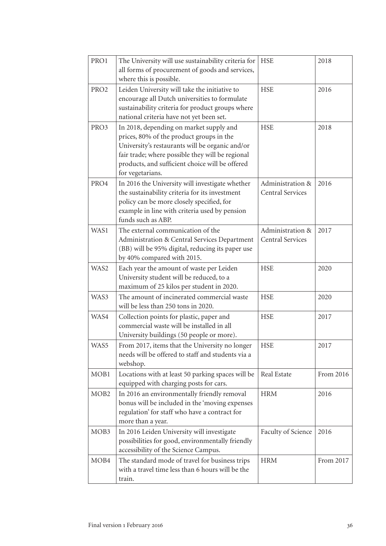| PRO1             | The University will use sustainability criteria for<br>all forms of procurement of goods and services,<br>where this is possible.                                                                                                                                 | <b>HSE</b>                                  | 2018      |
|------------------|-------------------------------------------------------------------------------------------------------------------------------------------------------------------------------------------------------------------------------------------------------------------|---------------------------------------------|-----------|
| PRO <sub>2</sub> | Leiden University will take the initiative to<br>encourage all Dutch universities to formulate<br>sustainability criteria for product groups where<br>national criteria have not yet been set.                                                                    | <b>HSE</b>                                  | 2016      |
| PRO3             | In 2018, depending on market supply and<br>prices, 80% of the product groups in the<br>University's restaurants will be organic and/or<br>fair trade; where possible they will be regional<br>products, and sufficient choice will be offered<br>for vegetarians. | <b>HSE</b>                                  | 2018      |
| PRO4             | In 2016 the University will investigate whether<br>the sustainability criteria for its investment<br>policy can be more closely specified, for<br>example in line with criteria used by pension<br>funds such as ABP.                                             | Administration &<br><b>Central Services</b> | 2016      |
| WAS1             | The external communication of the<br>Administration & Central Services Department<br>(BB) will be 95% digital, reducing its paper use<br>by 40% compared with 2015.                                                                                               | Administration &<br><b>Central Services</b> | 2017      |
| WAS2             | Each year the amount of waste per Leiden<br>University student will be reduced, to a<br>maximum of 25 kilos per student in 2020.                                                                                                                                  | <b>HSE</b>                                  | 2020      |
| WAS3             | The amount of incinerated commercial waste<br>will be less than 250 tons in 2020.                                                                                                                                                                                 | <b>HSE</b>                                  | 2020      |
| WAS4             | Collection points for plastic, paper and<br>commercial waste will be installed in all<br>University buildings (50 people or more).                                                                                                                                | <b>HSE</b>                                  | 2017      |
| WAS5             | From 2017, items that the University no longer<br>needs will be offered to staff and students via a<br>webshop.                                                                                                                                                   | <b>HSE</b>                                  | 2017      |
| MOB1             | Locations with at least 50 parking spaces will be<br>equipped with charging posts for cars.                                                                                                                                                                       | Real Estate                                 | From 2016 |
| MOB <sub>2</sub> | In 2016 an environmentally friendly removal<br>bonus will be included in the 'moving expenses<br>regulation' for staff who have a contract for<br>more than a year.                                                                                               | <b>HRM</b>                                  | 2016      |
| MOB3             | In 2016 Leiden University will investigate<br>possibilities for good, environmentally friendly<br>accessibility of the Science Campus.                                                                                                                            | Faculty of Science                          | 2016      |
| MOB4             | The standard mode of travel for business trips<br>with a travel time less than 6 hours will be the<br>train.                                                                                                                                                      | <b>HRM</b>                                  | From 2017 |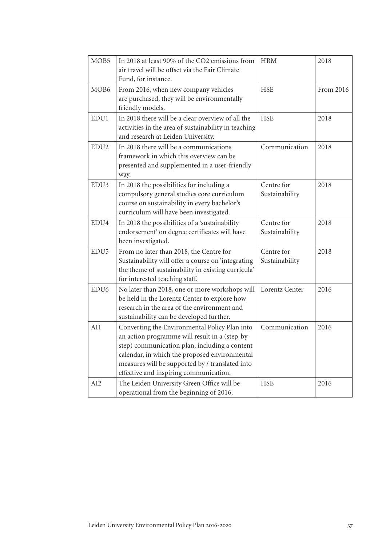| MOB <sub>5</sub> | In 2018 at least 90% of the CO2 emissions from<br>air travel will be offset via the Fair Climate<br>Fund, for instance.                                                                                                                                                                        | <b>HRM</b>                   | 2018      |
|------------------|------------------------------------------------------------------------------------------------------------------------------------------------------------------------------------------------------------------------------------------------------------------------------------------------|------------------------------|-----------|
| MOB <sub>6</sub> | From 2016, when new company vehicles<br>are purchased, they will be environmentally<br>friendly models.                                                                                                                                                                                        | <b>HSE</b>                   | From 2016 |
| EDU1             | In 2018 there will be a clear overview of all the<br>activities in the area of sustainability in teaching<br>and research at Leiden University.                                                                                                                                                | <b>HSE</b>                   | 2018      |
| EDU <sub>2</sub> | In 2018 there will be a communications<br>framework in which this overview can be<br>presented and supplemented in a user-friendly<br>way.                                                                                                                                                     | Communication                | 2018      |
| EDU3             | In 2018 the possibilities for including a<br>compulsory general studies core curriculum<br>course on sustainability in every bachelor's<br>curriculum will have been investigated.                                                                                                             | Centre for<br>Sustainability | 2018      |
| EDU4             | In 2018 the possibilities of a 'sustainability<br>endorsement' on degree certificates will have<br>been investigated.                                                                                                                                                                          | Centre for<br>Sustainability | 2018      |
| EDU <sub>5</sub> | From no later than 2018, the Centre for<br>Sustainability will offer a course on 'integrating<br>the theme of sustainability in existing curricula'<br>for interested teaching staff.                                                                                                          | Centre for<br>Sustainability | 2018      |
| EDU <sub>6</sub> | No later than 2018, one or more workshops will<br>be held in the Lorentz Center to explore how<br>research in the area of the environment and<br>sustainability can be developed further.                                                                                                      | Lorentz Center               | 2016      |
| AI1              | Converting the Environmental Policy Plan into<br>an action programme will result in a (step-by-<br>step) communication plan, including a content<br>calendar, in which the proposed environmental<br>measures will be supported by / translated into<br>effective and inspiring communication. | Communication                | 2016      |
| AI <sub>2</sub>  | The Leiden University Green Office will be<br>operational from the beginning of 2016.                                                                                                                                                                                                          | <b>HSE</b>                   | 2016      |